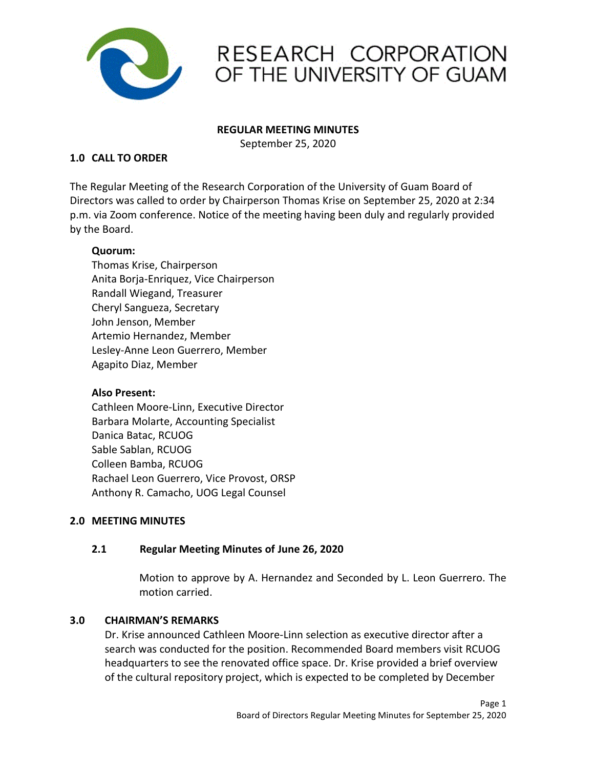

# RESEARCH CORPORATION OF THE UNIVERSITY OF GUAM

#### **REGULAR MEETING MINUTES**

September 25, 2020

### **1.0 CALL TO ORDER**

The Regular Meeting of the Research Corporation of the University of Guam Board of Directors was called to order by Chairperson Thomas Krise on September 25, 2020 at 2:34 p.m. via Zoom conference. Notice of the meeting having been duly and regularly provided by the Board.

### **Quorum:**

Thomas Krise, Chairperson Anita Borja-Enriquez, Vice Chairperson Randall Wiegand, Treasurer Cheryl Sangueza, Secretary John Jenson, Member Artemio Hernandez, Member Lesley-Anne Leon Guerrero, Member Agapito Diaz, Member

### **Also Present:**

Cathleen Moore-Linn, Executive Director Barbara Molarte, Accounting Specialist Danica Batac, RCUOG Sable Sablan, RCUOG Colleen Bamba, RCUOG Rachael Leon Guerrero, Vice Provost, ORSP Anthony R. Camacho, UOG Legal Counsel

### **2.0 MEETING MINUTES**

### **2.1 Regular Meeting Minutes of June 26, 2020**

Motion to approve by A. Hernandez and Seconded by L. Leon Guerrero. The motion carried.

#### **3.0 CHAIRMAN'S REMARKS**

Dr. Krise announced Cathleen Moore-Linn selection as executive director after a search was conducted for the position. Recommended Board members visit RCUOG headquarters to see the renovated office space. Dr. Krise provided a brief overview of the cultural repository project, which is expected to be completed by December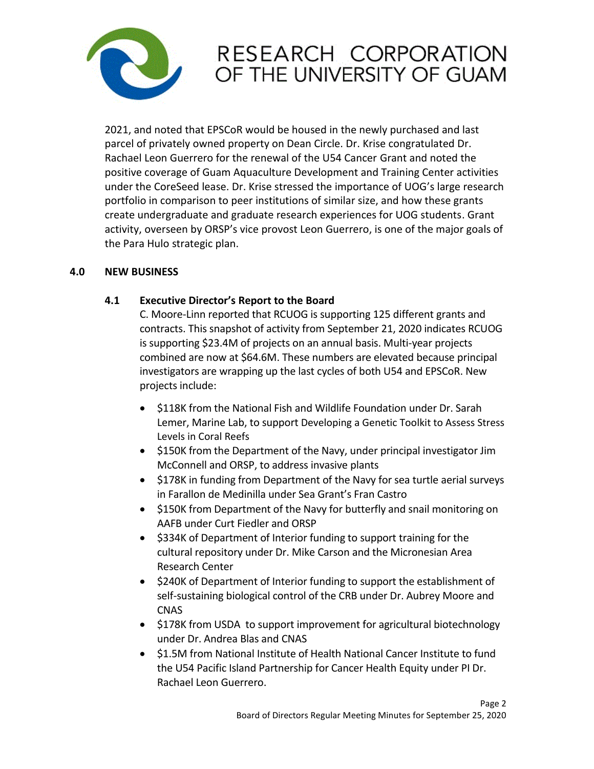

## RESEARCH CORPORATION OF THE UNIVERSITY OF GUAM

2021, and noted that EPSCoR would be housed in the newly purchased and last parcel of privately owned property on Dean Circle. Dr. Krise congratulated Dr. Rachael Leon Guerrero for the renewal of the U54 Cancer Grant and noted the positive coverage of Guam Aquaculture Development and Training Center activities under the CoreSeed lease. Dr. Krise stressed the importance of UOG's large research portfolio in comparison to peer institutions of similar size, and how these grants create undergraduate and graduate research experiences for UOG students. Grant activity, overseen by ORSP's vice provost Leon Guerrero, is one of the major goals of the Para Hulo strategic plan.

### **4.0 NEW BUSINESS**

### **4.1 Executive Director's Report to the Board**

C. Moore-Linn reported that RCUOG is supporting 125 different grants and contracts. This snapshot of activity from September 21, 2020 indicates RCUOG is supporting \$23.4M of projects on an annual basis. Multi-year projects combined are now at \$64.6M. These numbers are elevated because principal investigators are wrapping up the last cycles of both U54 and EPSCoR. New projects include:

- \$118K from the National Fish and Wildlife Foundation under Dr. Sarah Lemer, Marine Lab, to support Developing a Genetic Toolkit to Assess Stress Levels in Coral Reefs
- \$150K from the Department of the Navy, under principal investigator Jim McConnell and ORSP, to address invasive plants
- \$178K in funding from Department of the Navy for sea turtle aerial surveys in Farallon de Medinilla under Sea Grant's Fran Castro
- \$150K from Department of the Navy for butterfly and snail monitoring on AAFB under Curt Fiedler and ORSP
- \$334K of Department of Interior funding to support training for the cultural repository under Dr. Mike Carson and the Micronesian Area Research Center
- \$240K of Department of Interior funding to support the establishment of self-sustaining biological control of the CRB under Dr. Aubrey Moore and CNAS
- \$178K from USDA to support improvement for agricultural biotechnology under Dr. Andrea Blas and CNAS
- \$1.5M from National Institute of Health National Cancer Institute to fund the U54 Pacific Island Partnership for Cancer Health Equity under PI Dr. Rachael Leon Guerrero.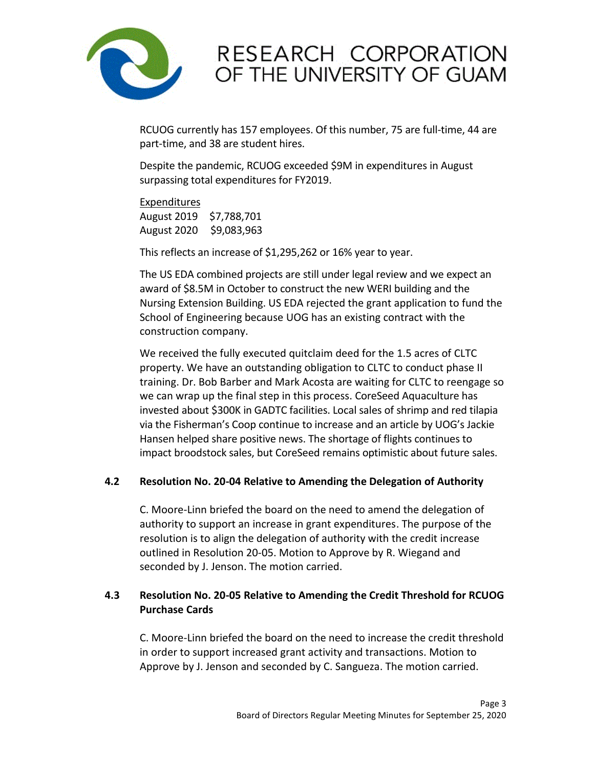

## RESEARCH CORPORATION OF THE UNIVERSITY OF GUAM

RCUOG currently has 157 employees. Of this number, 75 are full-time, 44 are part-time, and 38 are student hires.

Despite the pandemic, RCUOG exceeded \$9M in expenditures in August surpassing total expenditures for FY2019.

#### Expenditures

August 2019 \$7,788,701 August 2020 \$9,083,963

This reflects an increase of \$1,295,262 or 16% year to year.

The US EDA combined projects are still under legal review and we expect an award of \$8.5M in October to construct the new WERI building and the Nursing Extension Building. US EDA rejected the grant application to fund the School of Engineering because UOG has an existing contract with the construction company.

We received the fully executed quitclaim deed for the 1.5 acres of CLTC property. We have an outstanding obligation to CLTC to conduct phase II training. Dr. Bob Barber and Mark Acosta are waiting for CLTC to reengage so we can wrap up the final step in this process. CoreSeed Aquaculture has invested about \$300K in GADTC facilities. Local sales of shrimp and red tilapia via the Fisherman's Coop continue to increase and an article by UOG's Jackie Hansen helped share positive news. The shortage of flights continues to impact broodstock sales, but CoreSeed remains optimistic about future sales.

### **4.2 Resolution No. 20-04 Relative to Amending the Delegation of Authority**

C. Moore-Linn briefed the board on the need to amend the delegation of authority to support an increase in grant expenditures. The purpose of the resolution is to align the delegation of authority with the credit increase outlined in Resolution 20-05. Motion to Approve by R. Wiegand and seconded by J. Jenson. The motion carried.

## **4.3 Resolution No. 20-05 Relative to Amending the Credit Threshold for RCUOG Purchase Cards**

C. Moore-Linn briefed the board on the need to increase the credit threshold in order to support increased grant activity and transactions. Motion to Approve by J. Jenson and seconded by C. Sangueza. The motion carried.